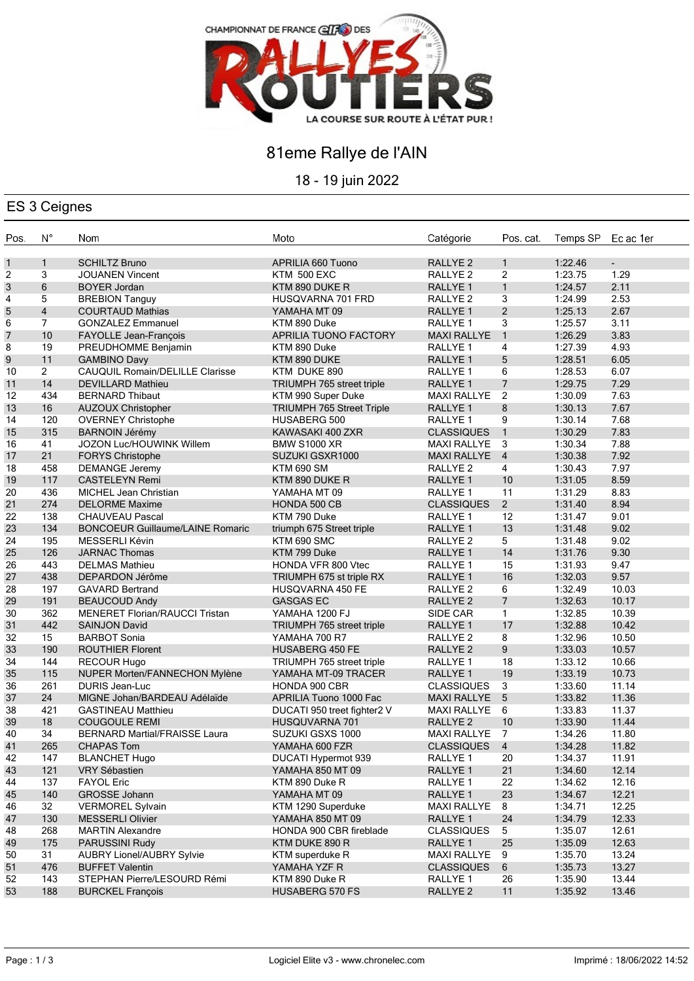

# 81eme Rallye de l'AIN

18 - 19 juin 2022

### ES 3 Ceignes

| Pos. | $N^{\circ}$    | Nom                                     | Moto                             | Catégorie           | Pos. cat.       | Temps SP | Ec ac 1er      |
|------|----------------|-----------------------------------------|----------------------------------|---------------------|-----------------|----------|----------------|
| 1    | $\mathbf{1}$   | <b>SCHILTZ Bruno</b>                    | APRILIA 660 Tuono                | <b>RALLYE 2</b>     | $\mathbf{1}$    | 1:22.46  | $\blacksquare$ |
| 2    | 3              | <b>JOUANEN Vincent</b>                  | <b>KTM 500 EXC</b>               | RALLYE <sub>2</sub> | $\overline{2}$  | 1:23.75  | 1.29           |
| 3    | 6              | <b>BOYER Jordan</b>                     | KTM 890 DUKE R                   | RALLYE 1            | $\mathbf{1}$    | 1:24.57  | 2.11           |
| 4    | 5              | <b>BREBION Tanguy</b>                   | HUSQVARNA 701 FRD                | RALLYE <sub>2</sub> | 3               | 1:24.99  | 2.53           |
| 5    | $\overline{4}$ | <b>COURTAUD Mathias</b>                 | YAMAHA MT 09                     | RALLYE <sub>1</sub> | $\overline{2}$  | 1:25.13  | 2.67           |
| 6    | $\overline{7}$ | <b>GONZALEZ Emmanuel</b>                | KTM 890 Duke                     | RALLYE 1            | 3               | 1:25.57  | 3.11           |
| 7    | 10             | FAYOLLE Jean-François                   | APRILIA TUONO FACTORY            | <b>MAXI RALLYE</b>  | $\overline{1}$  | 1:26.29  | 3.83           |
| 8    | 19             | PREUDHOMME Benjamin                     | KTM 890 Duke                     | RALLYE 1            | 4               | 1:27.39  | 4.93           |
| 9    | 11             | <b>GAMBINO Davy</b>                     | KTM 890 DUKE                     | RALLYE 1            | 5               | 1:28.51  | 6.05           |
| 10   | $\overline{2}$ | <b>CAUQUIL Romain/DELILLE Clarisse</b>  | KTM DUKE 890                     | RALLYE <sub>1</sub> | 6               | 1:28.53  | 6.07           |
| 11   | 14             | <b>DEVILLARD Mathieu</b>                | TRIUMPH 765 street triple        | RALLYE <sub>1</sub> | $\overline{7}$  | 1:29.75  | 7.29           |
| 12   | 434            | <b>BERNARD Thibaut</b>                  | KTM 990 Super Duke               | <b>MAXI RALLYE</b>  | $\overline{2}$  | 1:30.09  | 7.63           |
| 13   | 16             | <b>AUZOUX Christopher</b>               | <b>TRIUMPH 765 Street Triple</b> | RALLYE 1            | 8               | 1:30.13  | 7.67           |
| 14   | 120            | <b>OVERNEY Christophe</b>               | HUSABERG 500                     | RALLYE 1            | 9               | 1:30.14  | 7.68           |
| 15   | 315            | <b>BARNOIN Jérémy</b>                   | KAWASAKI 400 ZXR                 | <b>CLASSIQUES</b>   | $\overline{1}$  | 1:30.29  | 7.83           |
| 16   | 41             | JOZON Luc/HOUWINK Willem                | <b>BMW S1000 XR</b>              | <b>MAXI RALLYE</b>  | $\mathbf{3}$    | 1:30.34  | 7.88           |
| 17   | 21             | <b>FORYS Christophe</b>                 | SUZUKI GSXR1000                  | <b>MAXI RALLYE</b>  | $\overline{4}$  | 1:30.38  | 7.92           |
| 18   | 458            | <b>DEMANGE Jeremy</b>                   | <b>KTM 690 SM</b>                | RALLYE <sub>2</sub> | $\overline{4}$  | 1:30.43  | 7.97           |
| 19   | 117            | <b>CASTELEYN Remi</b>                   | KTM 890 DUKE R                   | RALLYE 1            | 10              | 1:31.05  | 8.59           |
| 20   | 436            | <b>MICHEL Jean Christian</b>            | YAMAHA MT 09                     | RALLYE 1            | 11              | 1:31.29  | 8.83           |
| 21   | 274            | <b>DELORME Maxime</b>                   | HONDA 500 CB                     | <b>CLASSIQUES</b>   | $2^{\circ}$     | 1:31.40  | 8.94           |
| 22   | 138            | <b>CHAUVEAU Pascal</b>                  | KTM 790 Duke                     | RALLYE <sub>1</sub> | 12              | 1:31.47  | 9.01           |
| 23   | 134            | <b>BONCOEUR Guillaume/LAINE Romaric</b> | triumph 675 Street triple        | <b>RALLYE 1</b>     | 13              | 1:31.48  | 9.02           |
| 24   | 195            | MESSERLI Kévin                          | KTM 690 SMC                      | RALLYE <sub>2</sub> | 5 <sup>5</sup>  | 1:31.48  | 9.02           |
| 25   | 126            | <b>JARNAC Thomas</b>                    | KTM 799 Duke                     | RALLYE 1            | 14              | 1:31.76  | 9.30           |
| 26   | 443            | <b>DELMAS Mathieu</b>                   | HONDA VFR 800 Vtec               | RALLYE <sub>1</sub> | 15              | 1:31.93  | 9.47           |
| 27   | 438            | DEPARDON Jérôme                         | TRIUMPH 675 st triple RX         | RALLYE 1            | 16              | 1:32.03  | 9.57           |
| 28   | 197            | <b>GAVARD Bertrand</b>                  | HUSQVARNA 450 FE                 | RALLYE <sub>2</sub> | 6               | 1:32.49  | 10.03          |
| 29   | 191            | <b>BEAUCOUD Andy</b>                    | <b>GASGAS EC</b>                 | <b>RALLYE 2</b>     | $\overline{7}$  | 1:32.63  | 10.17          |
| 30   | 362            | <b>MENERET Florian/RAUCCI Tristan</b>   | YAMAHA 1200 FJ                   | SIDE CAR            | $\mathbf{1}$    | 1:32.85  | 10.39          |
| 31   | 442            | <b>SAINJON David</b>                    | TRIUMPH 765 street triple        | RALLYE 1            | 17              | 1:32.88  | 10.42          |
| 32   | 15             | <b>BARBOT Sonia</b>                     | YAMAHA 700 R7                    | RALLYE <sub>2</sub> | 8               | 1:32.96  | 10.50          |
| 33   | 190            | <b>ROUTHIER Florent</b>                 | <b>HUSABERG 450 FE</b>           | RALLYE <sub>2</sub> | 9               | 1:33.03  | 10.57          |
| 34   | 144            | RECOUR Hugo                             | TRIUMPH 765 street triple        | RALLYE 1            | 18              | 1:33.12  | 10.66          |
| 35   | 115            | NUPER Morten/FANNECHON Mylène           | YAMAHA MT-09 TRACER              | RALLYE 1            | 19              | 1:33.19  | 10.73          |
| 36   | 261            | <b>DURIS Jean-Luc</b>                   | HONDA 900 CBR                    | <b>CLASSIQUES</b>   | 3               | 1:33.60  | 11.14          |
| 37   | 24             | MIGNE Johan/BARDEAU Adélaïde            | APRILIA Tuono 1000 Fac           | <b>MAXI RALLYE</b>  | $5\phantom{.0}$ | 1:33.82  | 11.36          |
| 38   | 421            | <b>GASTINEAU Matthieu</b>               | DUCATI 950 treet fighter2 V      | <b>MAXI RALLYE</b>  | 6               | 1:33.83  | 11.37          |
| 39   | 18             | <b>COUGOULE REMI</b>                    | HUSQUVARNA 701                   | RALLYE <sub>2</sub> | 10              | 1:33.90  | 11.44          |
| 40   | 34             | <b>BERNARD Martial/FRAISSE Laura</b>    | SUZUKI GSXS 1000                 | MAXI RALLYE 7       |                 | 1:34.26  | 11.80          |
| 41   | 265            | <b>CHAPAS Tom</b>                       | YAMAHA 600 FZR                   | CLASSIQUES 4        |                 | 1:34.28  | 11.82          |
| 42   | 147            | <b>BLANCHET Hugo</b>                    | DUCATI Hypermot 939              | RALLYE 1            | 20              | 1:34.37  | 11.91          |
| 43   | 121            | <b>VRY Sébastien</b>                    | YAMAHA 850 MT 09                 | RALLYE 1            | 21              | 1:34.60  | 12.14          |
| 44   | 137            | <b>FAYOL Eric</b>                       | KTM 890 Duke R                   | RALLYE 1            | 22              | 1:34.62  | 12.16          |
| 45   | 140            | GROSSE Johann                           | YAMAHA MT 09                     | RALLYE 1            | 23              | 1:34.67  | 12.21          |
| 46   | 32             | <b>VERMOREL Sylvain</b>                 | KTM 1290 Superduke               | <b>MAXI RALLYE</b>  | 8               | 1:34.71  | 12.25          |
| 47   | 130            | <b>MESSERLI Olivier</b>                 | YAMAHA 850 MT 09                 | RALLYE 1            | 24              | 1:34.79  | 12.33          |
| 48   | 268            | <b>MARTIN Alexandre</b>                 | HONDA 900 CBR fireblade          | <b>CLASSIQUES</b>   | 5               | 1:35.07  | 12.61          |
| 49   | 175            | PARUSSINI Rudy                          | KTM DUKE 890 R                   | RALLYE 1            | 25              | 1:35.09  | 12.63          |
| 50   | 31             | <b>AUBRY Lionel/AUBRY Sylvie</b>        | KTM superduke R                  | <b>MAXI RALLYE</b>  | 9               | 1:35.70  | 13.24          |
| 51   | 476            | <b>BUFFET Valentin</b>                  | YAMAHA YZF R                     | <b>CLASSIQUES</b>   | 6               | 1:35.73  | 13.27          |
| 52   | 143            | STEPHAN Pierre/LESOURD Rémi             | KTM 890 Duke R                   | RALLYE 1            | 26              | 1:35.90  | 13.44          |
| 53   | 188            | <b>BURCKEL François</b>                 | <b>HUSABERG 570 FS</b>           | RALLYE <sub>2</sub> | 11              | 1:35.92  | 13.46          |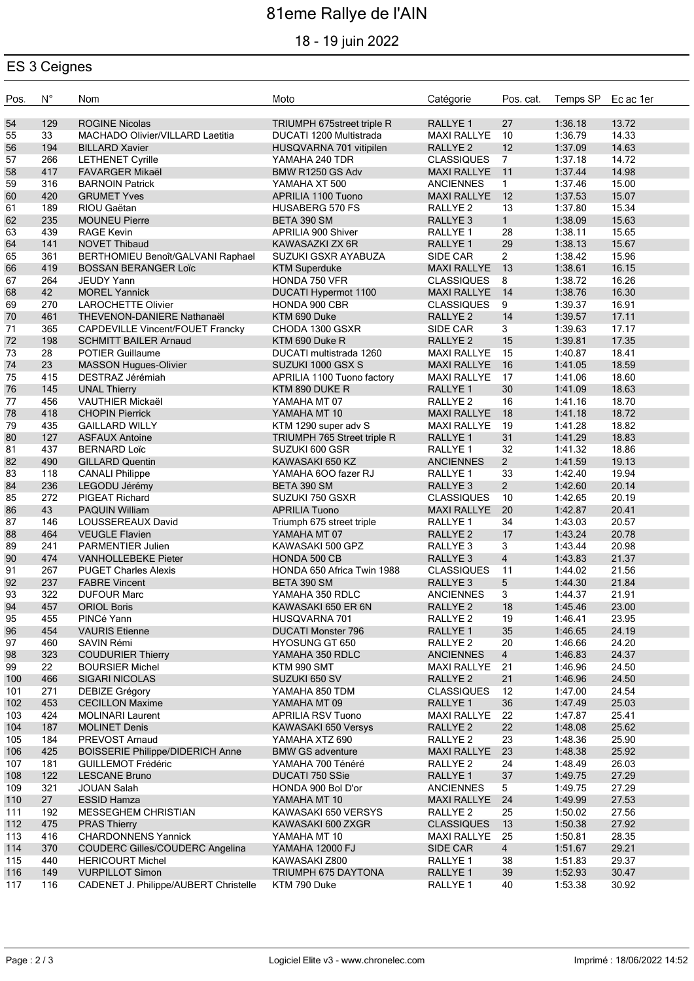# 81eme Rallye de l'AIN

### 18 - 19 juin 2022

### ES 3 Ceignes

| Pos.       | $N^{\circ}$ | Nom                                                           | Moto                                   | Catégorie                                  | Pos. cat.            | Temps SP Ec ac 1er |                |
|------------|-------------|---------------------------------------------------------------|----------------------------------------|--------------------------------------------|----------------------|--------------------|----------------|
| 54         | 129         | <b>ROGINE Nicolas</b>                                         | TRIUMPH 675street triple R             | RALLYE 1                                   | 27                   | 1:36.18            | 13.72          |
| 55         | 33          | MACHADO Olivier/VILLARD Laetitia                              | DUCATI 1200 Multistrada                | <b>MAXI RALLYE</b>                         | 10                   | 1:36.79            | 14.33          |
| 56         | 194         | <b>BILLARD Xavier</b>                                         | HUSQVARNA 701 vitipilen                | RALLYE <sub>2</sub>                        | 12                   | 1:37.09            | 14.63          |
| 57         | 266         | <b>LETHENET Cyrille</b>                                       | YAMAHA 240 TDR                         | <b>CLASSIQUES</b>                          | $7\overline{ }$      | 1:37.18            | 14.72          |
| 58         | 417         | <b>FAVARGER Mikaël</b>                                        | BMW R1250 GS Adv                       | <b>MAXI RALLYE</b>                         | 11                   | 1:37.44            | 14.98          |
| 59         | 316         | <b>BARNOIN Patrick</b>                                        | YAMAHA XT 500                          | <b>ANCIENNES</b>                           | $\mathbf{1}$         | 1:37.46            | 15.00          |
| 60         | 420         | <b>GRUMET Yves</b>                                            | APRILIA 1100 Tuono                     | <b>MAXI RALLYE</b>                         | 12                   | 1:37.53            | 15.07          |
| 61         | 189         | RIOU Gaëtan                                                   | <b>HUSABERG 570 FS</b>                 | RALLYE 2                                   | 13                   | 1:37.80            | 15.34          |
| 62         | 235         | <b>MOUNEU Pierre</b>                                          | BETA 390 SM                            | RALLYE <sub>3</sub>                        | $\mathbf{1}$         | 1:38.09            | 15.63          |
| 63         | 439         | <b>RAGE Kevin</b>                                             | APRILIA 900 Shiver                     | RALLYE <sub>1</sub>                        | 28                   | 1:38.11            | 15.65          |
| 64         | 141         | <b>NOVET Thibaud</b>                                          | KAWASAZKI ZX 6R                        | RALLYE 1                                   | 29                   | 1:38.13            | 15.67          |
| 65         | 361         | BERTHOMIEU Benoît/GALVANI Raphael                             | SUZUKI GSXR AYABUZA                    | SIDE CAR                                   | $\overline{2}$       | 1:38.42            | 15.96          |
| 66<br>67   | 419<br>264  | <b>BOSSAN BERANGER Loïc</b><br><b>JEUDY Yann</b>              | <b>KTM Superduke</b><br>HONDA 750 VFR  | <b>MAXI RALLYE</b><br><b>CLASSIQUES</b>    | 13<br>8              | 1:38.61<br>1:38.72 | 16.15<br>16.26 |
| 68         | 42          | <b>MOREL Yannick</b>                                          | DUCATI Hypermot 1100                   | <b>MAXI RALLYE</b>                         | 14                   | 1:38.76            | 16.30          |
| 69         | 270         | <b>LAROCHETTE Olivier</b>                                     | HONDA 900 CBR                          | <b>CLASSIQUES</b>                          | 9                    | 1:39.37            | 16.91          |
| 70         | 461         | THEVENON-DANIERE Nathanaël                                    | KTM 690 Duke                           | RALLYE <sub>2</sub>                        | 14                   | 1:39.57            | 17.11          |
| 71         | 365         | <b>CAPDEVILLE Vincent/FOUET Francky</b>                       | CHODA 1300 GSXR                        | SIDE CAR                                   | 3                    | 1:39.63            | 17.17          |
| 72         | 198         | <b>SCHMITT BAILER Arnaud</b>                                  | KTM 690 Duke R                         | RALLYE <sub>2</sub>                        | 15                   | 1:39.81            | 17.35          |
| 73         | 28          | <b>POTIER Guillaume</b>                                       | DUCATI multistrada 1260                | <b>MAXI RALLYE</b>                         | 15                   | 1:40.87            | 18.41          |
| 74         | 23          | <b>MASSON Hugues-Olivier</b>                                  | SUZUKI 1000 GSX S                      | <b>MAXI RALLYE</b>                         | 16                   | 1:41.05            | 18.59          |
| 75         | 415         | DESTRAZ Jérémiah                                              | APRILIA 1100 Tuono factory             | <b>MAXI RALLYE</b>                         | 17                   | 1:41.06            | 18.60          |
| 76         | 145         | <b>UNAL Thierry</b>                                           | KTM 890 DUKE R                         | RALLYE 1                                   | 30 <sup>°</sup>      | 1:41.09            | 18.63          |
| 77         | 456         | <b>VAUTHIER Mickaël</b>                                       | YAMAHA MT 07                           | RALLYE <sub>2</sub>                        | 16                   | 1:41.16            | 18.70          |
| 78         | 418         | <b>CHOPIN Pierrick</b>                                        | YAMAHA MT 10                           | <b>MAXI RALLYE</b>                         | 18                   | 1:41.18            | 18.72          |
| 79         | 435         | <b>GAILLARD WILLY</b>                                         | KTM 1290 super adv S                   | <b>MAXI RALLYE</b>                         | 19                   | 1:41.28            | 18.82          |
| 80         | 127         | <b>ASFAUX Antoine</b>                                         | TRIUMPH 765 Street triple R            | RALLYE 1                                   | 31                   | 1:41.29            | 18.83          |
| 81         | 437         | <b>BERNARD Loïc</b>                                           | SUZUKI 600 GSR                         | RALLYE 1                                   | 32                   | 1:41.32            | 18.86          |
| 82         | 490         | <b>GILLARD Quentin</b>                                        | KAWASAKI 650 KZ                        | <b>ANCIENNES</b>                           | $2^{\circ}$          | 1:41.59            | 19.13          |
| 83         | 118         | <b>CANALI Philippe</b>                                        | YAMAHA 600 fazer RJ                    | RALLYE 1                                   | 33                   | 1:42.40            | 19.94          |
| 84         | 236         | LEGODU Jérémy                                                 | BETA 390 SM                            | RALLYE <sub>3</sub>                        | $2^{\circ}$          | 1:42.60            | 20.14          |
| 85         | 272         | PIGEAT Richard                                                | SUZUKI 750 GSXR                        | <b>CLASSIQUES</b>                          | 10                   | 1:42.65            | 20.19          |
| 86         | 43          | <b>PAQUIN William</b>                                         | <b>APRILIA Tuono</b>                   | <b>MAXI RALLYE</b>                         | 20                   | 1:42.87            | 20.41          |
| 87         | 146         | LOUSSEREAUX David                                             | Triumph 675 street triple              | RALLYE 1                                   | 34                   | 1:43.03            | 20.57          |
| 88         | 464         | <b>VEUGLE Flavien</b>                                         | YAMAHA MT 07                           | RALLYE <sub>2</sub>                        | 17                   | 1:43.24            | 20.78          |
| 89<br>90   | 241<br>474  | <b>PARMENTIER Julien</b><br><b>VANHOLLEBEKE Pieter</b>        | KAWASAKI 500 GPZ<br>HONDA 500 CB       | RALLYE <sub>3</sub><br>RALLYE <sub>3</sub> | 3<br>$\overline{4}$  | 1:43.44            | 20.98<br>21.37 |
| 91         | 267         | <b>PUGET Charles Alexis</b>                                   | HONDA 650 Africa Twin 1988             | <b>CLASSIQUES</b>                          | 11                   | 1:43.83<br>1:44.02 | 21.56          |
| 92         | 237         | <b>FABRE Vincent</b>                                          | BETA 390 SM                            | RALLYE <sub>3</sub>                        | 5                    | 1:44.30            | 21.84          |
| 93         | 322         | <b>DUFOUR Marc</b>                                            | YAMAHA 350 RDLC                        | <b>ANCIENNES</b>                           | 3                    | 1:44.37            | 21.91          |
| 94         | 457         | <b>ORIOL Boris</b>                                            | KAWASAKI 650 ER 6N                     | RALLYE <sub>2</sub>                        | 18                   | 1:45.46            | 23.00          |
| 95         | 455         | PINCé Yann                                                    | HUSQVARNA 701                          | RALLYE <sub>2</sub>                        | 19                   | 1:46.41            | 23.95          |
| 96         | 454         | <b>VAURIS</b> Etienne                                         | <b>DUCATI Monster 796</b>              | RALLYE 1                                   | 35                   | 1:46.65            | 24.19          |
| 97         | 460         | SAVIN Rémi                                                    | <b>HYOSUNG GT 650</b>                  | RALLYE <sub>2</sub>                        | 20                   | 1:46.66            | 24.20          |
| 98         | 323         | <b>COUDURIER Thierry</b>                                      | YAMAHA 350 RDLC                        | <b>ANCIENNES</b>                           | $\overline{4}$       | 1:46.83            | 24.37          |
| 99         | 22          | <b>BOURSIER Michel</b>                                        | KTM 990 SMT                            | <b>MAXI RALLYE</b>                         | 21                   | 1:46.96            | 24.50          |
| 100        | 466         | <b>SIGARI NICOLAS</b>                                         | SUZUKI 650 SV                          | RALLYE <sub>2</sub>                        | 21                   | 1:46.96            | 24.50          |
| 101        | 271         | DEBIZE Grégory                                                | YAMAHA 850 TDM                         | <b>CLASSIQUES</b>                          | 12                   | 1:47.00            | 24.54          |
| 102        | 453         | <b>CECILLON Maxime</b>                                        | YAMAHA MT 09                           | RALLYE <sub>1</sub>                        | 36                   | 1:47.49            | 25.03          |
| 103        | 424         | <b>MOLINARI Laurent</b>                                       | <b>APRILIA RSV Tuono</b>               | <b>MAXI RALLYE</b>                         | 22                   | 1:47.87            | 25.41          |
| 104        | 187         | <b>MOLINET Denis</b>                                          | KAWASAKI 650 Versys                    | RALLYE <sub>2</sub>                        | 22                   | 1:48.08            | 25.62          |
| 105        | 184         | PREVOST Arnaud                                                | YAMAHA XTZ 690                         | RALLYE <sub>2</sub>                        | 23                   | 1:48.36            | 25.90          |
| 106        | 425         | <b>BOISSERIE Philippe/DIDERICH Anne</b>                       | <b>BMW GS adventure</b>                | <b>MAXI RALLYE</b>                         | 23                   | 1:48.38            | 25.92          |
| 107        | 181         | <b>GUILLEMOT Frédéric</b>                                     | YAMAHA 700 Ténéré                      | RALLYE 2                                   | 24                   | 1:48.49            | 26.03          |
| 108        | 122         | <b>LESCANE Bruno</b>                                          | DUCATI 750 SSie                        | RALLYE <sub>1</sub>                        | 37                   | 1:49.75            | 27.29          |
| 109        | 321         | <b>JOUAN Salah</b>                                            | HONDA 900 Bol D'or                     | <b>ANCIENNES</b>                           | 5 <sub>5</sub>       | 1:49.75            | 27.29          |
| 110        | 27          | <b>ESSID Hamza</b>                                            | YAMAHA MT 10                           | <b>MAXI RALLYE</b>                         | 24                   | 1:49.99            | 27.53          |
| 111        | 192         | <b>MESSEGHEM CHRISTIAN</b>                                    | KAWASAKI 650 VERSYS                    | RALLYE 2                                   | 25                   | 1:50.02            | 27.56          |
| 112        | 475         | <b>PRAS Thierry</b>                                           | KAWASAKI 600 ZXGR                      | <b>CLASSIQUES</b>                          | 13                   | 1:50.38            | 27.92          |
| 113<br>114 | 416<br>370  | <b>CHARDONNENS Yannick</b><br>COUDERC Gilles/COUDERC Angelina | YAMAHA MT 10<br><b>YAMAHA 12000 FJ</b> | <b>MAXI RALLYE</b><br><b>SIDE CAR</b>      | 25<br>$\overline{4}$ | 1:50.81<br>1:51.67 | 28.35<br>29.21 |
| 115        | 440         | <b>HERICOURT Michel</b>                                       | KAWASAKI Z800                          | RALLYE 1                                   | 38                   | 1:51.83            | 29.37          |
| 116        | 149         | <b>VURPILLOT Simon</b>                                        | TRIUMPH 675 DAYTONA                    | RALLYE 1                                   | 39                   | 1:52.93            | 30.47          |
| 117        | 116         | CADENET J. Philippe/AUBERT Christelle                         | KTM 790 Duke                           | RALLYE 1                                   | 40                   | 1:53.38            | 30.92          |
|            |             |                                                               |                                        |                                            |                      |                    |                |